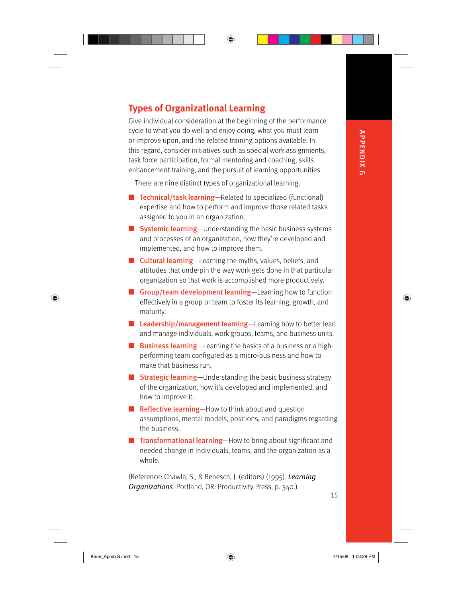**APPENDIX G** APPENDIX G

⊕

**Types of Organizational Learning**

Give individual consideration at the beginning of the performance cycle to what you do well and enjoy doing, what you must learn or improve upon, and the related training options available. In this regard, consider initiatives such as special work assignments, task force participation, formal mentoring and coaching, skills enhancement training, and the pursuit of learning opportunities.

⊕

There are nine distinct types of organizational learning.

- Technical/task learning-Related to specialized (functional) expertise and how to perform and improve those related tasks assigned to you in an organization.
- Systemic learning-Understanding the basic business systems and processes of an organization, how they're developed and implemented, and how to improve them.
- Cultural learning-Learning the myths, values, beliefs, and attitudes that underpin the way work gets done in that particular organization so that work is accomplished more productively.
- Group/team development learning-Learning how to function effectively in a group or team to foster its learning, growth, and maturity.
- Leadership/management learning-Learning how to better lead and manage individuals, work groups, teams, and business units.
- Business learning-Learning the basics of a business or a highperforming team configured as a micro-business and how to make that business run.
- Strategic learning-Understanding the basic business strategy of the organization, how it's developed and implemented, and how to improve it.
- Reflective learning-How to think about and question assumptions, mental models, positions, and paradigms regarding the business.
- Transformational learning-How to bring about significant and needed change in individuals, teams, and the organization as a whole.

(Reference: Chawla, S., & Renesch, J. (editors) (1995). *Learning Organizations*. Portland, OR: Productivity Press, p. 340.)

15

 $\bigoplus$